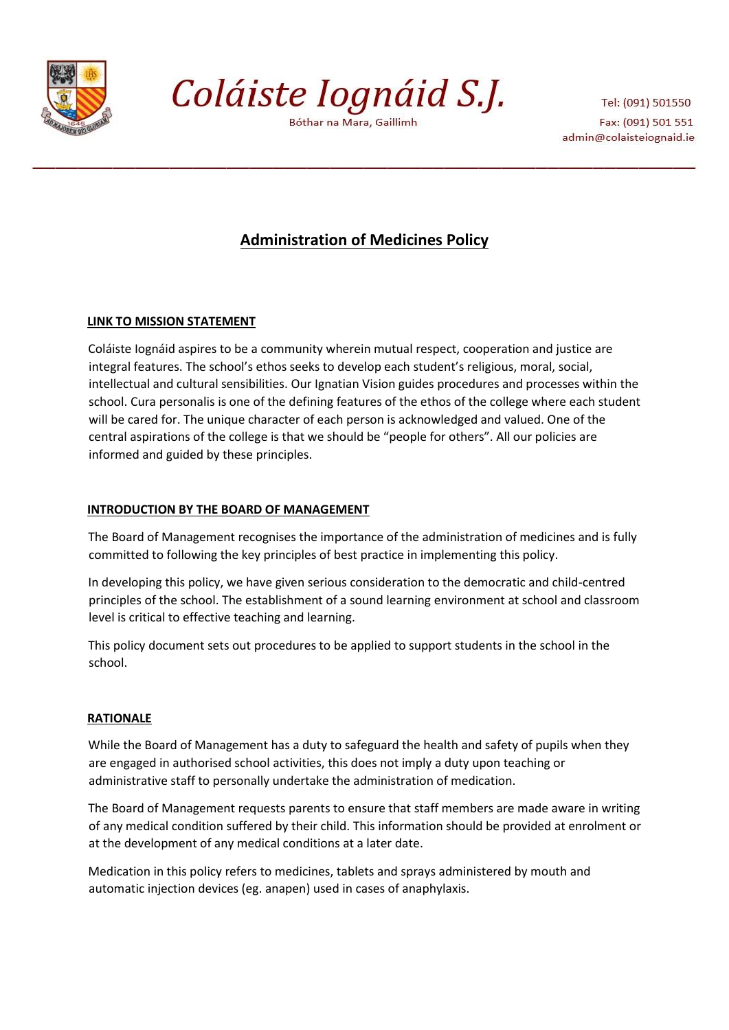

Coláiste Iognáid S.J.

Bóthar na Mara, Gaillimh

Tel: (091) 501550 Fax: (091) 501 551 admin@colaisteiognaid.ie

# **Administration of Medicines Policy**

## **LINK TO MISSION STATEMENT**

Coláiste Iognáid aspires to be a community wherein mutual respect, cooperation and justice are integral features. The school's ethos seeks to develop each student's religious, moral, social, intellectual and cultural sensibilities. Our Ignatian Vision guides procedures and processes within the school. Cura personalis is one of the defining features of the ethos of the college where each student will be cared for. The unique character of each person is acknowledged and valued. One of the central aspirations of the college is that we should be "people for others". All our policies are informed and guided by these principles.

## **INTRODUCTION BY THE BOARD OF MANAGEMENT**

The Board of Management recognises the importance of the administration of medicines and is fully committed to following the key principles of best practice in implementing this policy.

In developing this policy, we have given serious consideration to the democratic and child-centred principles of the school. The establishment of a sound learning environment at school and classroom level is critical to effective teaching and learning.

This policy document sets out procedures to be applied to support students in the school in the school.

## **RATIONALE**

While the Board of Management has a duty to safeguard the health and safety of pupils when they are engaged in authorised school activities, this does not imply a duty upon teaching or administrative staff to personally undertake the administration of medication.

The Board of Management requests parents to ensure that staff members are made aware in writing of any medical condition suffered by their child. This information should be provided at enrolment or at the development of any medical conditions at a later date.

Medication in this policy refers to medicines, tablets and sprays administered by mouth and automatic injection devices (eg. anapen) used in cases of anaphylaxis.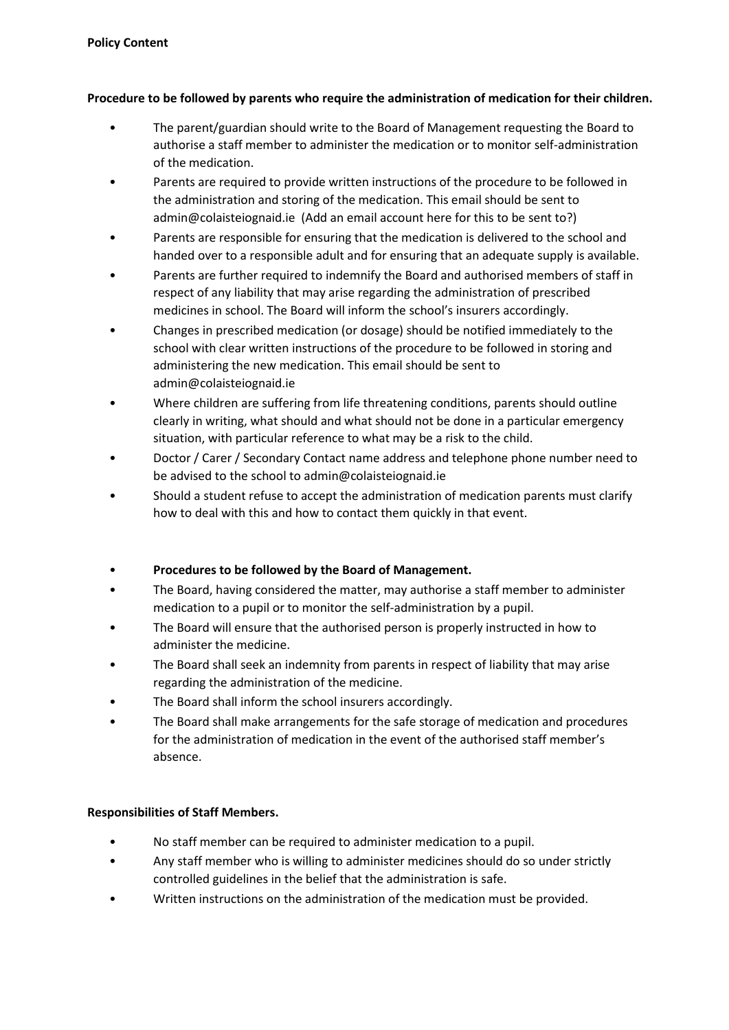## **Procedure to be followed by parents who require the administration of medication for their children.**

- The parent/guardian should write to the Board of Management requesting the Board to authorise a staff member to administer the medication or to monitor self-administration of the medication.
- Parents are required to provide written instructions of the procedure to be followed in the administration and storing of the medication. This email should be sent to admin@colaisteiognaid.ie (Add an email account here for this to be sent to?)
- Parents are responsible for ensuring that the medication is delivered to the school and handed over to a responsible adult and for ensuring that an adequate supply is available.
- Parents are further required to indemnify the Board and authorised members of staff in respect of any liability that may arise regarding the administration of prescribed medicines in school. The Board will inform the school's insurers accordingly.
- Changes in prescribed medication (or dosage) should be notified immediately to the school with clear written instructions of the procedure to be followed in storing and administering the new medication. This email should be sent to admin@colaisteiognaid.ie
- Where children are suffering from life threatening conditions, parents should outline clearly in writing, what should and what should not be done in a particular emergency situation, with particular reference to what may be a risk to the child.
- Doctor / Carer / Secondary Contact name address and telephone phone number need to be advised to the school to admin@colaisteiognaid.ie
- Should a student refuse to accept the administration of medication parents must clarify how to deal with this and how to contact them quickly in that event.

## • **Procedures to be followed by the Board of Management.**

- The Board, having considered the matter, may authorise a staff member to administer medication to a pupil or to monitor the self-administration by a pupil.
- The Board will ensure that the authorised person is properly instructed in how to administer the medicine.
- The Board shall seek an indemnity from parents in respect of liability that may arise regarding the administration of the medicine.
- The Board shall inform the school insurers accordingly.
- The Board shall make arrangements for the safe storage of medication and procedures for the administration of medication in the event of the authorised staff member's absence.

## **Responsibilities of Staff Members.**

- No staff member can be required to administer medication to a pupil.
- Any staff member who is willing to administer medicines should do so under strictly controlled guidelines in the belief that the administration is safe.
- Written instructions on the administration of the medication must be provided.